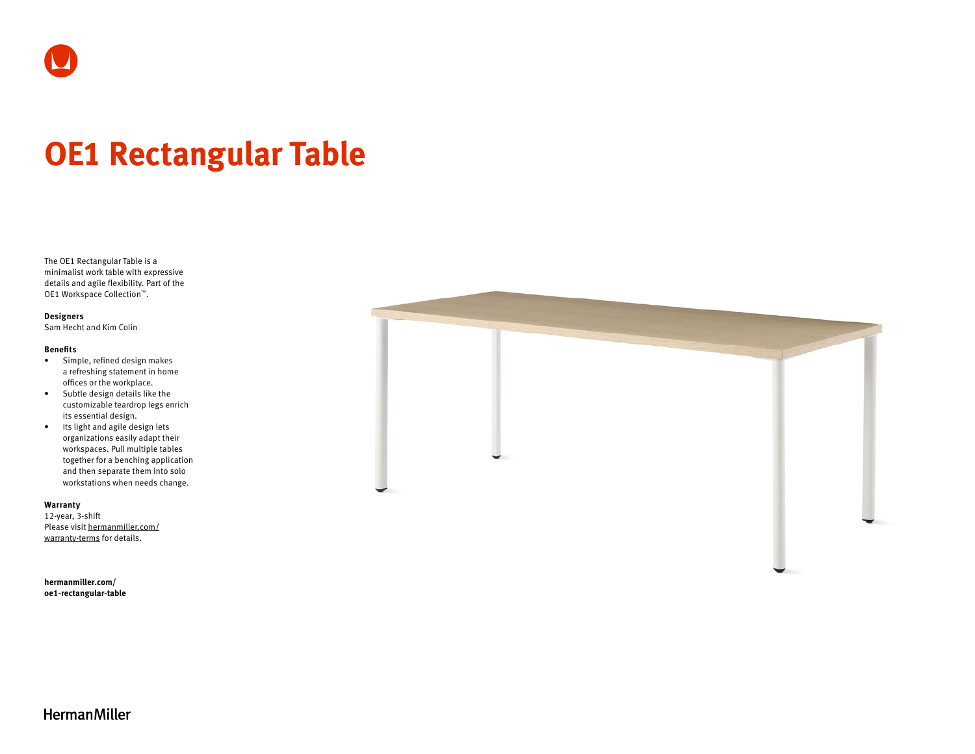

# **OE1 Rectangular Table**

The OE1 Rectangular Table is a minimalist work table with expressive details and agile flexibility. Part of the OE1 Workspace Collection™.

#### **Designers**

Sam Hecht and Kim Colin

#### **Benefits**

- Simple, refined design makes a refreshing statement in home offices or the workplace.
- Subtle design details like the customizable teardrop legs enrich its essential design.
- Its light and agile design lets organizations easily adapt their workspaces. Pull multiple tables together for a benching application and then separate them into solo workstations when needs change.

### **Warranty**

12-year, 3-shift Please visit [hermanmiller.com/](https://hermanmiller.com/warranty-terms) [warranty-terms](https://hermanmiller.com/warranty-terms) for details.

**[hermanmiller.com/](https://hermanmiller.com/oe1-rectangular-table)  [oe1-rectangular-table](https://hermanmiller.com/oe1-rectangular-table)**



## **HermanMiller**